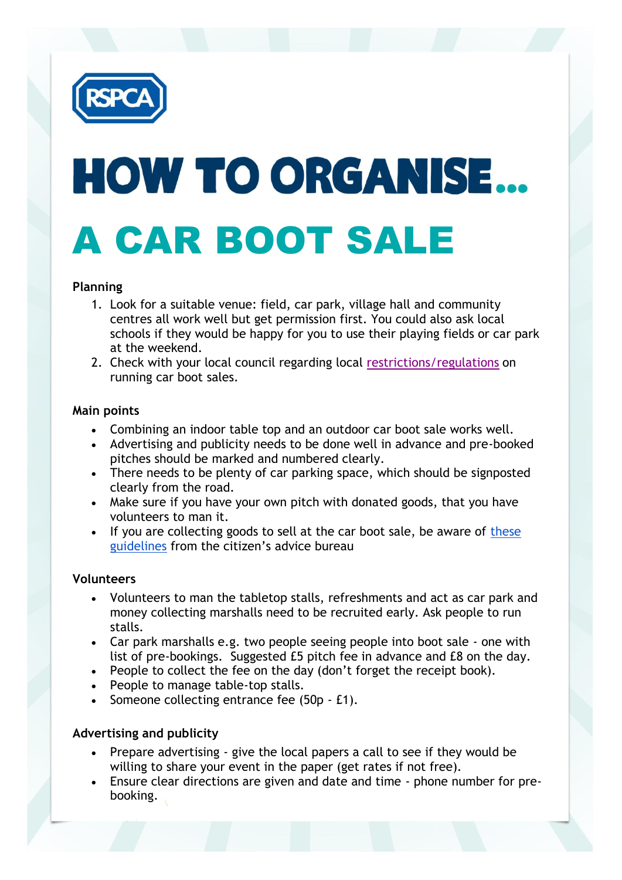

# HOW TO ORGANISE... A CAR BOOT SALE

# **Planning**

- 1. Look for a suitable venue: field, car park, village hall and community centres all work well but get permission first. You could also ask local schools if they would be happy for you to use their playing fields or car park at the weekend.
- 2. Check with your local council regarding local [restrictions/regulations](https://thelink.rspca.org.uk/incomegeneration/legislation/car-boot) on running car boot sales.

## **Main points**

- Combining an indoor table top and an outdoor car boot sale works well.
- Advertising and publicity needs to be done well in advance and pre-booked pitches should be marked and numbered clearly.
- There needs to be plenty of car parking space, which should be signposted clearly from the road.
- Make sure if you have your own pitch with donated goods, that you have volunteers to man it.
- If you are collecting goods to sell at the car boot sale, be aware of these [guidelines](https://www.citizensadvice.org.uk/Documents/Advice%20factsheets/Consumer%20Affairs/c-private-sales-and-car-boot-sales.pdf) from the citizen's advice bureau

#### **Volunteers**

- Volunteers to man the tabletop stalls, refreshments and act as car park and money collecting marshalls need to be recruited early. Ask people to run stalls.
- Car park marshalls e.g. two people seeing people into boot sale one with list of pre-bookings. Suggested £5 pitch fee in advance and £8 on the day.
- People to collect the fee on the day (don't forget the receipt book).
- People to manage table-top stalls.
- Someone collecting entrance fee (50p £1).

# **Advertising and publicity**

- Prepare advertising give the local papers a call to see if they would be willing to share your event in the paper (get rates if not free).
- Ensure clear directions are given and date and time phone number for prebooking.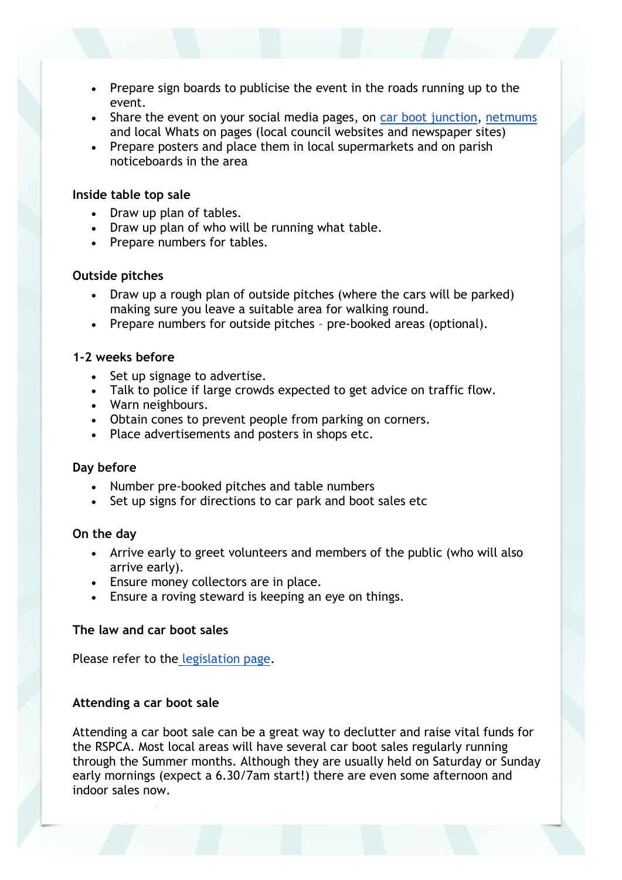- Prepare sign boards to publicise the event in the roads running up to the event.
- Share the event on your social media pages, on [car boot junction,](http://www.carbootjunction.com/add-car-boot.php) [netmums](https://www.netmums.com/local-to-you) and local Whats on pages (local council websites and newspaper sites)
- Prepare posters and place them in local supermarkets and on parish noticeboards in the area

## **Inside table top sale**

- Draw up plan of tables.
- Draw up plan of who will be running what table.
- Prepare numbers for tables.

## **Outside pitches**

- Draw up a rough plan of outside pitches (where the cars will be parked) making sure you leave a suitable area for walking round.
- Prepare numbers for outside pitches pre-booked areas (optional).

## **1-2 weeks before**

- Set up signage to advertise.
- Talk to police if large crowds expected to get advice on traffic flow.
- Warn neighbours.
- Obtain cones to prevent people from parking on corners.
- Place advertisements and posters in shops etc.

#### **Day before**

- Number pre-booked pitches and table numbers
- Set up signs for directions to car park and boot sales etc

#### **On the day**

- Arrive early to greet volunteers and members of the public (who will also arrive early).
- Ensure money collectors are in place.
- Ensure a roving steward is keeping an eye on things.

# **The law and car boot sales**

Please refer to the [legislation page.](https://thelink.rspca.org.uk/incomegeneration/legislation/car-boot)

## **Attending a car boot sale**

Attending a car boot sale can be a great way to declutter and raise vital funds for the RSPCA. Most local areas will have several car boot sales regularly running through the Summer months. Although they are usually held on Saturday or Sunday early mornings (expect a 6.30/7am start!) there are even some afternoon and indoor sales now.